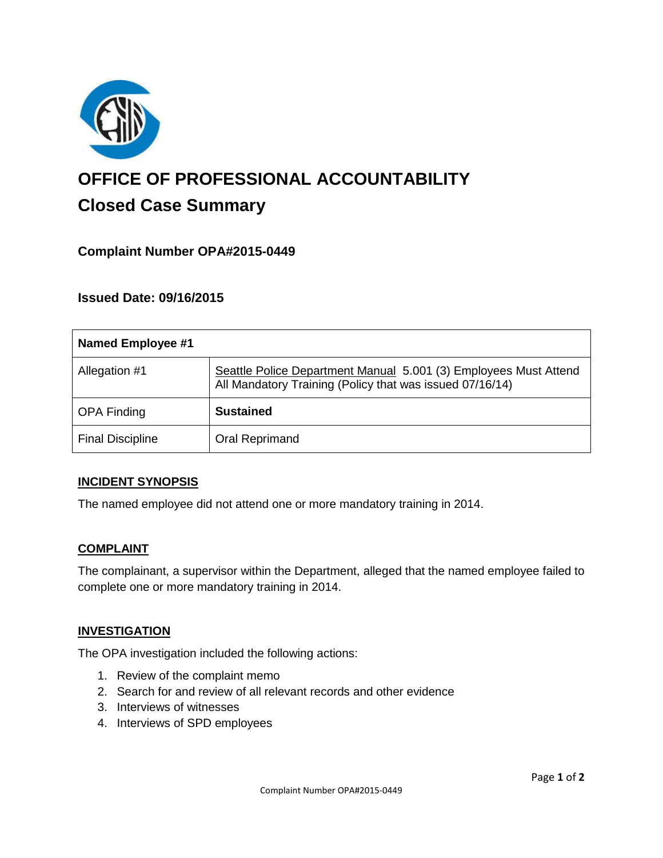

# **OFFICE OF PROFESSIONAL ACCOUNTABILITY Closed Case Summary**

# **Complaint Number OPA#2015-0449**

## **Issued Date: 09/16/2015**

| <b>Named Employee #1</b> |                                                                                                                              |
|--------------------------|------------------------------------------------------------------------------------------------------------------------------|
| Allegation #1            | Seattle Police Department Manual 5.001 (3) Employees Must Attend<br>All Mandatory Training (Policy that was issued 07/16/14) |
| <b>OPA Finding</b>       | <b>Sustained</b>                                                                                                             |
| <b>Final Discipline</b>  | Oral Reprimand                                                                                                               |

#### **INCIDENT SYNOPSIS**

The named employee did not attend one or more mandatory training in 2014.

#### **COMPLAINT**

The complainant, a supervisor within the Department, alleged that the named employee failed to complete one or more mandatory training in 2014.

#### **INVESTIGATION**

The OPA investigation included the following actions:

- 1. Review of the complaint memo
- 2. Search for and review of all relevant records and other evidence
- 3. Interviews of witnesses
- 4. Interviews of SPD employees